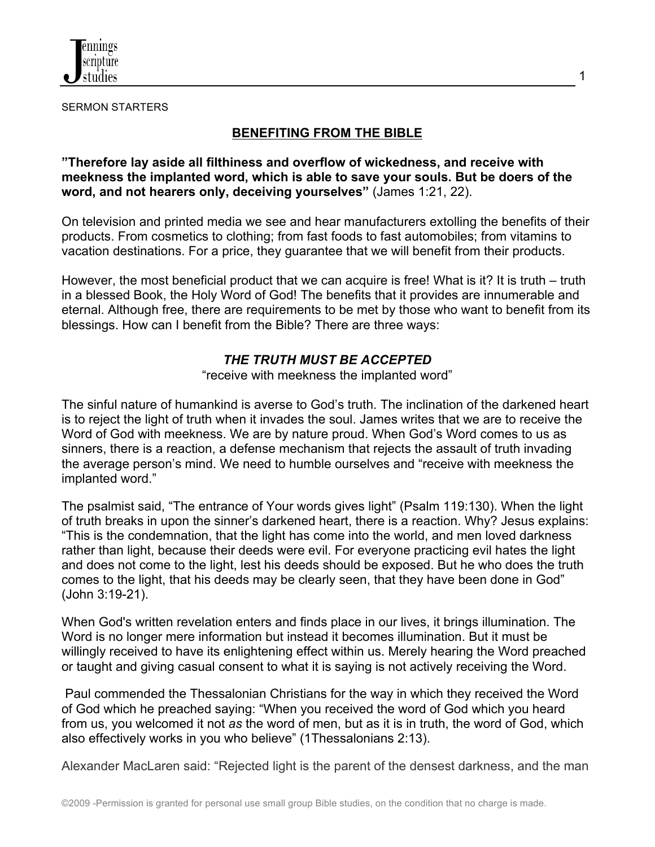

SERMON STARTERS

## **BENEFITING FROM THE BIBLE**

**"Therefore lay aside all filthiness and overflow of wickedness, and receive with meekness the implanted word, which is able to save your souls. But be doers of the word, and not hearers only, deceiving yourselves"** (James 1:21, 22).

On television and printed media we see and hear manufacturers extolling the benefits of their products. From cosmetics to clothing; from fast foods to fast automobiles; from vitamins to vacation destinations. For a price, they guarantee that we will benefit from their products.

However, the most beneficial product that we can acquire is free! What is it? It is truth – truth in a blessed Book, the Holy Word of God! The benefits that it provides are innumerable and eternal. Although free, there are requirements to be met by those who want to benefit from its blessings. How can I benefit from the Bible? There are three ways:

### *THE TRUTH MUST BE ACCEPTED*

"receive with meekness the implanted word"

The sinful nature of humankind is averse to God's truth. The inclination of the darkened heart is to reject the light of truth when it invades the soul. James writes that we are to receive the Word of God with meekness. We are by nature proud. When God's Word comes to us as sinners, there is a reaction, a defense mechanism that rejects the assault of truth invading the average person's mind. We need to humble ourselves and "receive with meekness the implanted word."

The psalmist said, "The entrance of Your words gives light" (Psalm 119:130). When the light of truth breaks in upon the sinner's darkened heart, there is a reaction. Why? Jesus explains: "This is the condemnation, that the light has come into the world, and men loved darkness rather than light, because their deeds were evil. For everyone practicing evil hates the light and does not come to the light, lest his deeds should be exposed. But he who does the truth comes to the light, that his deeds may be clearly seen, that they have been done in God" (John 3:19-21).

When God's written revelation enters and finds place in our lives, it brings illumination. The Word is no longer mere information but instead it becomes illumination. But it must be willingly received to have its enlightening effect within us. Merely hearing the Word preached or taught and giving casual consent to what it is saying is not actively receiving the Word.

Paul commended the Thessalonian Christians for the way in which they received the Word of God which he preached saying: "When you received the word of God which you heard from us, you welcomed it not *as* the word of men, but as it is in truth, the word of God, which also effectively works in you who believe" (1Thessalonians 2:13).

Alexander MacLaren said: "Rejected light is the parent of the densest darkness, and the man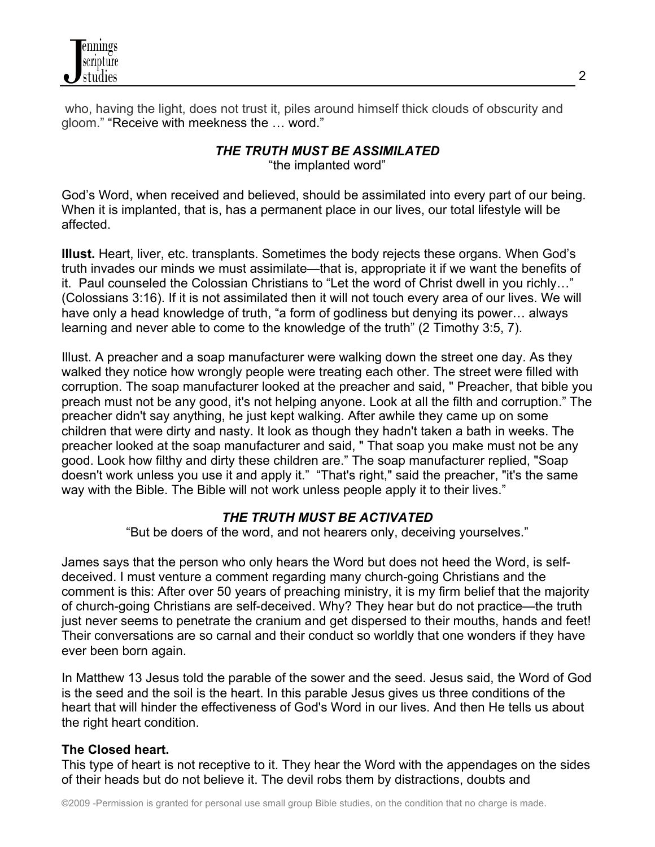

who, having the light, does not trust it, piles around himself thick clouds of obscurity and gloom." "Receive with meekness the … word."

# *THE TRUTH MUST BE ASSIMILATED*

"the implanted word"

God's Word, when received and believed, should be assimilated into every part of our being. When it is implanted, that is, has a permanent place in our lives, our total lifestyle will be affected.

**Illust.** Heart, liver, etc. transplants. Sometimes the body rejects these organs. When God's truth invades our minds we must assimilate—that is, appropriate it if we want the benefits of it. Paul counseled the Colossian Christians to "Let the word of Christ dwell in you richly…" (Colossians 3:16). If it is not assimilated then it will not touch every area of our lives. We will have only a head knowledge of truth, "a form of godliness but denying its power… always learning and never able to come to the knowledge of the truth" (2 Timothy 3:5, 7).

Illust. A preacher and a soap manufacturer were walking down the street one day. As they walked they notice how wrongly people were treating each other. The street were filled with corruption. The soap manufacturer looked at the preacher and said, " Preacher, that bible you preach must not be any good, it's not helping anyone. Look at all the filth and corruption." The preacher didn't say anything, he just kept walking. After awhile they came up on some children that were dirty and nasty. It look as though they hadn't taken a bath in weeks. The preacher looked at the soap manufacturer and said, " That soap you make must not be any good. Look how filthy and dirty these children are." The soap manufacturer replied, "Soap doesn't work unless you use it and apply it." "That's right," said the preacher, "it's the same way with the Bible. The Bible will not work unless people apply it to their lives."

## *THE TRUTH MUST BE ACTIVATED*

"But be doers of the word, and not hearers only, deceiving yourselves."

James says that the person who only hears the Word but does not heed the Word, is selfdeceived. I must venture a comment regarding many church-going Christians and the comment is this: After over 50 years of preaching ministry, it is my firm belief that the majority of church-going Christians are self-deceived. Why? They hear but do not practice—the truth just never seems to penetrate the cranium and get dispersed to their mouths, hands and feet! Their conversations are so carnal and their conduct so worldly that one wonders if they have ever been born again.

In Matthew 13 Jesus told the parable of the sower and the seed. Jesus said, the Word of God is the seed and the soil is the heart. In this parable Jesus gives us three conditions of the heart that will hinder the effectiveness of God's Word in our lives. And then He tells us about the right heart condition.

## **The Closed heart.**

This type of heart is not receptive to it. They hear the Word with the appendages on the sides of their heads but do not believe it. The devil robs them by distractions, doubts and